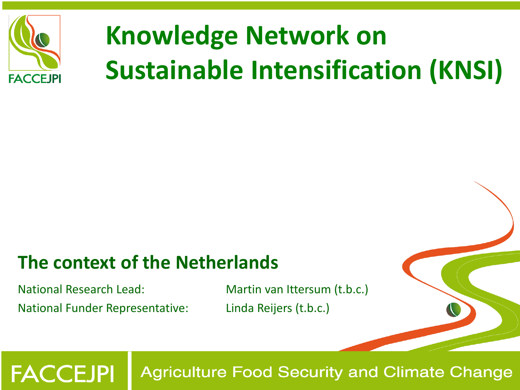

# **Knowledge Network on Sustainable Intensification (KNSI)**

### **The context of the Netherlands**

National Research Lead: Martin van Ittersum (t.b.c.) National Funder Representative: Linda Reijers (t.b.c.)

**FACCEJPI**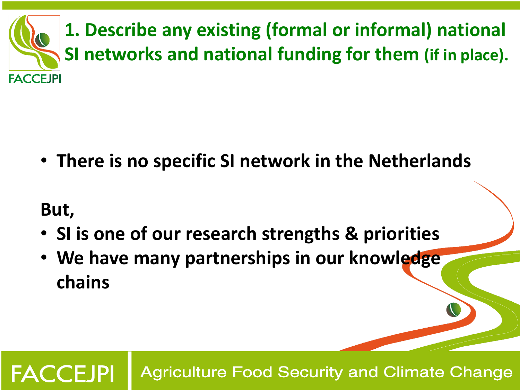

• **There is no specific SI network in the Netherlands**

#### **But,**

**FACCEJPI** 

- **SI is one of our research strengths & priorities**
- **We have many partnerships in our knowledge chains**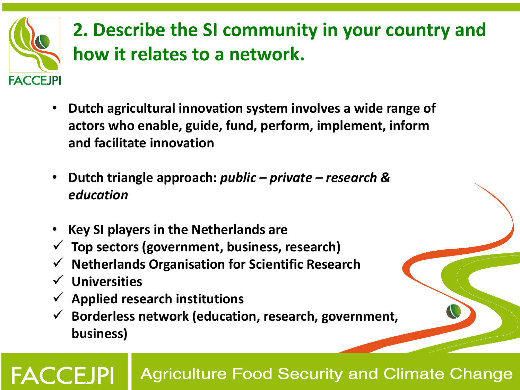

# **2. Describe the SI community in your country and how it relates to a network.**

- **Dutch agricultural innovation system involves a wide range of actors who enable, guide, fund, perform, implement, inform and facilitate innovation**
- **Dutch triangle approach:** *public – private – research & education*
- **Key SI players in the Netherlands are**
- **Top sectors (government, business, research)**
- **Netherlands Organisation for Scientific Research**
- **Universities**

l<br>I

- **Applied research institutions**
- **Borderless network (education, research, government, business)**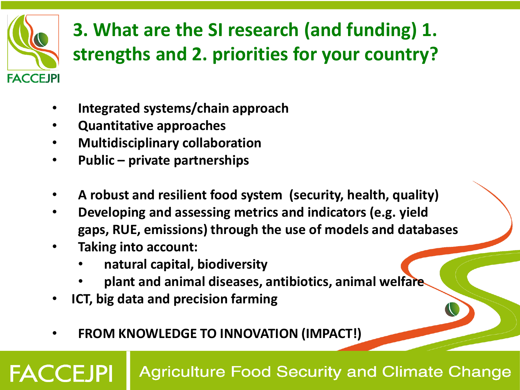

**FACCE IPI** 

# **3. What are the SI research (and funding) 1. strengths and 2. priorities for your country?**

- **Integrated systems/chain approach**
- **Quantitative approaches**
- **Multidisciplinary collaboration**
- **Public – private partnerships**
- **A robust and resilient food system (security, health, quality)**
- **Developing and assessing metrics and indicators (e.g. yield gaps, RUE, emissions) through the use of models and databases**
- **Taking into account:** 
	- **natural capital, biodiversity**
	- **plant and animal diseases, antibiotics, animal welfare**
- **ICT, big data and precision farming**
- **FROM KNOWLEDGE TO INNOVATION (IMPACT!)**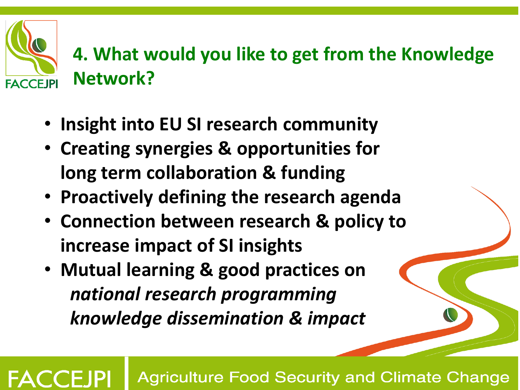## **4. What would you like to get from the Knowledge Network? FACCEJPI**

- **Insight into EU SI research community**
- **Creating synergies & opportunities for long term collaboration & funding**
- **Proactively defining the research agenda**
- **Connection between research & policy to increase impact of SI insights**
- **Mutual learning & good practices on**  *national research programming knowledge dissemination & impact*